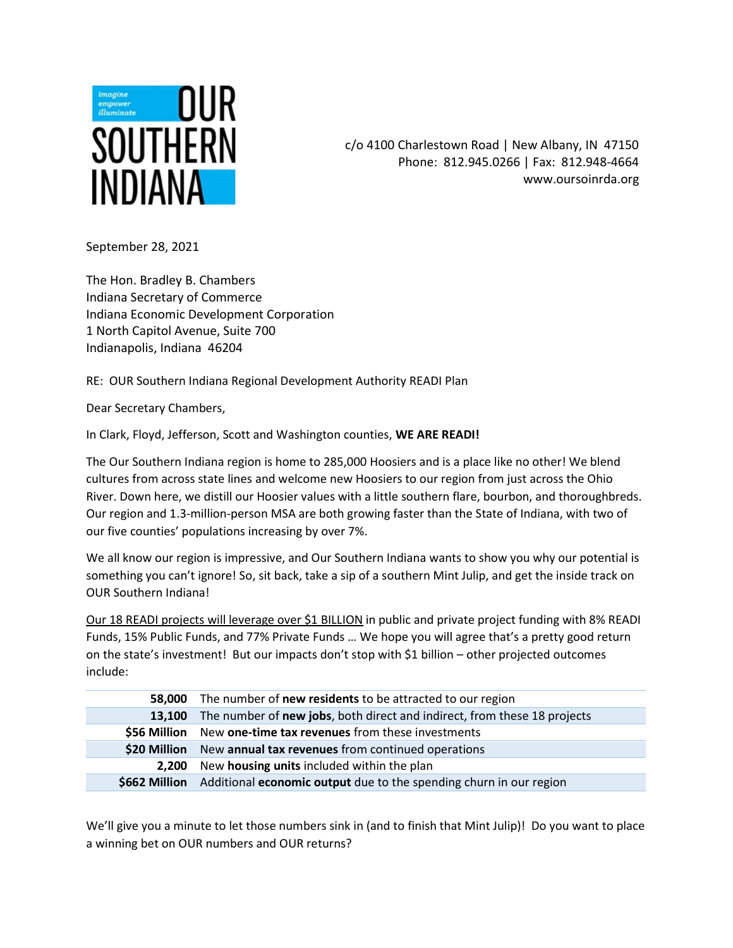

c/o 4100 Charlestown Road | New Albany, IN 47150 Phone: 812.945.0266 | Fax: 812.948-4664 www.oursoinrda.org

September 28, 2021

The Hon. Bradley B. Chambers Indiana Secretary of Commerce Indiana Economic Development Corporation 1 North Capitol Avenue, Suite 700 Indianapolis, Indiana 46204

RE: OUR Southern Indiana Regional Development Authority READI Plan

Dear Secretary Chambers,

In Clark, Floyd, Jefferson, Scott and Washington counties, WE ARE READI!

The Our Southern Indiana region is home to 285,000 Hoosiers and is a place like no other! We blend cultures from across state lines and welcome new Hoosiers to our region from just across the Ohio River. Down here, we distill our Hoosier values with a little southern flare, bourbon, and thoroughbreds. Our region and 1.3-million-person MSA are both growing faster than the State of Indiana, with two of our five counties' populations increasing by over 7%.

We all know our region is impressive, and Our Southern Indiana wants to show you why our potential is something you can't ignore! So, sit back, take a sip of a southern Mint Julip, and get the inside track on OUR Southern Indiana!

Our 18 READI projects will leverage over \$1 BILLION in public and private project funding with 8% READI Funds, 15% Public Funds, and 77% Private Funds … We hope you will agree that's a pretty good return on the state's investment! But our impacts don't stop with \$1 billion – other projected outcomes include:

| 58.000        | The number of <b>new residents</b> to be attracted to our region         |
|---------------|--------------------------------------------------------------------------|
| 13.100        | The number of new jobs, both direct and indirect, from these 18 projects |
|               | \$56 Million New one-time tax revenues from these investments            |
| \$20 Million  | New annual tax revenues from continued operations                        |
| 2.200         | New housing units included within the plan                               |
| \$662 Million | Additional economic output due to the spending churn in our region       |

We'll give you a minute to let those numbers sink in (and to finish that Mint Julip)! Do you want to place a winning bet on OUR numbers and OUR returns?